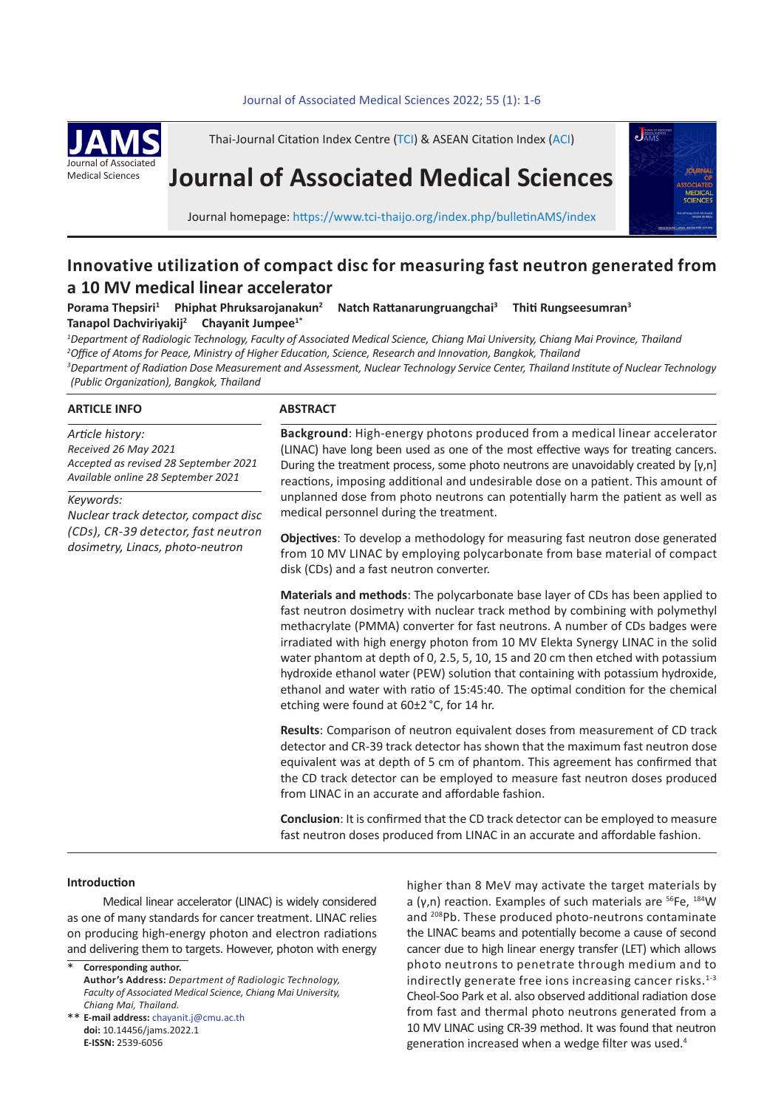#### *Pournal of Associated Medical Sciences 2022; 55(1): 1-6*



Thai-Journal Citation Index Centre (TCI) & ASEAN Citation Index (ACI)

# **Journal of Associated Medical Sciences**



Journal homepage: https://www.tci-thaijo.org/index.php/bulletinAMS/index

### **Innovative utilization of compact disc for measuring fast neutron generated from a 10 MV medical linear accelerator**

Porama Thepsiri<sup>1</sup> Phiphat Phruksarojanakun<sup>2</sup>  **Natch Rattanarungruangchai<sup>3</sup> Thiti Rungseesumran<sup>3</sup> Tanapol Dachviriyakij2 Chayanit Jumpee1\***

*1 Department of Radiologic Technology, Faculty of Associated Medical Science, Chiang Mai University, Chiang Mai Province, Thailand 2 Office of Atoms for Peace, Ministry of Higher Education, Science, Research and Innovation, Bangkok, Thailand 3 Department of Radiation Dose Measurement and Assessment, Nuclear Technology Service Center, Thailand Institute of Nuclear Technology* 

*(Public Organization), Bangkok, Thailand*

#### **ARTICLE INFO**

*Article history: Received 26 May 2021 Accepted as revised 28 September 2021 Available online 28 September 2021*

#### *Keywords:*

*Nuclear track detector, compact disc (CDs), CR-39 detector, fast neutron dosimetry, Linacs, photo-neutron*

#### **ABSTRACT**

**Background**: High-energy photons produced from a medical linear accelerator (LINAC) have long been used as one of the most effective ways for treating cancers. During the treatment process, some photo neutrons are unavoidably created by [γ,n] reactions, imposing additional and undesirable dose on a patient. This amount of unplanned dose from photo neutrons can potentially harm the patient as well as medical personnel during the treatment.

**Objectives**: To develop a methodology for measuring fast neutron dose generated from 10 MV LINAC by employing polycarbonate from base material of compact disk (CDs) and a fast neutron converter.

**Materials and methods**: The polycarbonate base layer of CDs has been applied to fast neutron dosimetry with nuclear track method by combining with polymethyl methacrylate (PMMA) converter for fast neutrons. A number of CDs badges were irradiated with high energy photon from 10 MV Elekta Synergy LINAC in the solid water phantom at depth of 0, 2.5, 5, 10, 15 and 20 cm then etched with potassium hydroxide ethanol water (PEW) solution that containing with potassium hydroxide, ethanol and water with ratio of 15:45:40. The optimal condition for the chemical etching were found at 60±2 °C, for 14 hr.

**Results**: Comparison of neutron equivalent doses from measurement of CD track detector and CR-39 track detector has shown that the maximum fast neutron dose equivalent was at depth of 5 cm of phantom. This agreement has confirmed that the CD track detector can be employed to measure fast neutron doses produced from LINAC in an accurate and affordable fashion.

**Conclusion**: It is confirmed that the CD track detector can be employed to measure fast neutron doses produced from LINAC in an accurate and affordable fashion.

Medical linear accelerator (LINAC) is widely considered as one of many standards for cancer treatment. LINAC relies on producing high-energy photon and electron radiations and delivering them to targets. However, photon with energy

**Corresponding author. Author's Address:** *Department of Radiologic Technology, Faculty of Associated Medical Science, Chiang Mai University,*  \*

*Chiang Mai, Thailand.* **E-mail address:** chayanit.j@cmu.ac.th \*\* **doi:** 10.14456/jams.2022.1 **E-ISSN:** 2539-6056

**Introduction Introduction higher than 8 MeV** may activate the target materials by a (y,n) reaction. Examples of such materials are  ${}^{56}Fe$ ,  ${}^{184}W$ and 208Pb. These produced photo-neutrons contaminate the LINAC beams and potentially become a cause of second cancer due to high linear energy transfer (LET) which allows photo neutrons to penetrate through medium and to indirectly generate free ions increasing cancer risks. $1-3$ Cheol-Soo Park et al. also observed additional radiation dose from fast and thermal photo neutrons generated from a 10 MV LINAC using CR-39 method. It was found that neutron generation increased when a wedge filter was used.4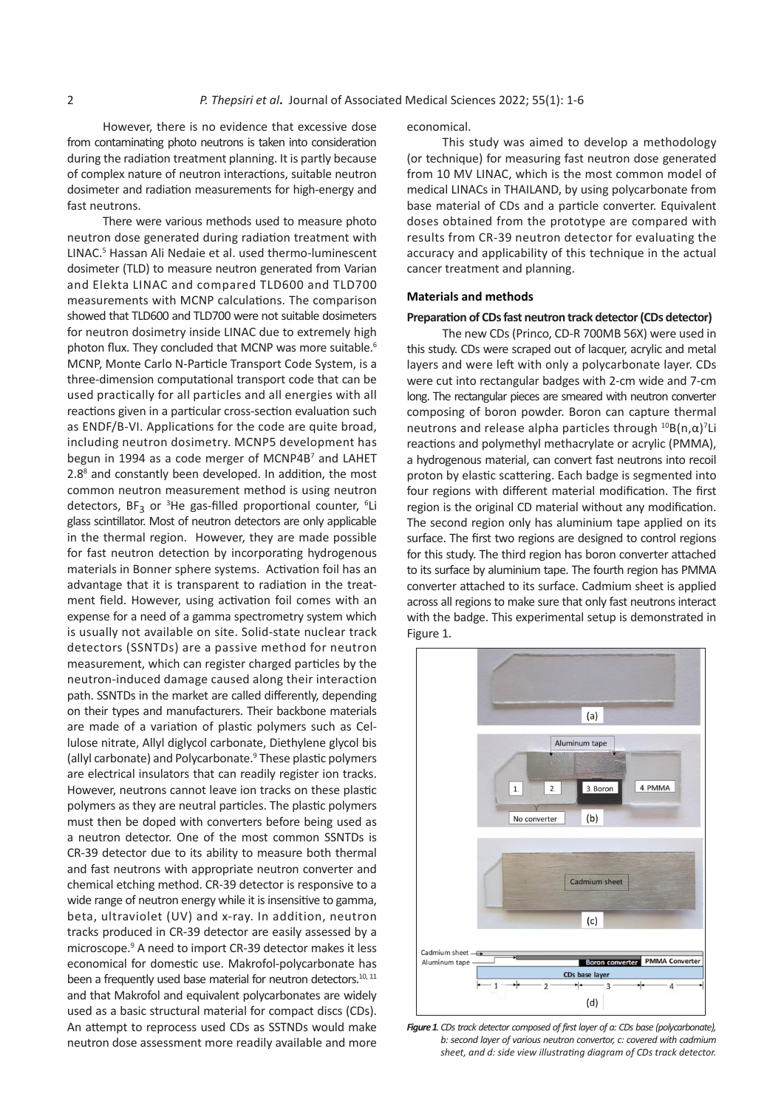However, there is no evidence that excessive dose from contaminating photo neutrons is taken into consideration during the radiation treatment planning. It is partly because of complex nature of neutron interactions, suitable neutron dosimeter and radiation measurements for high-energy and fast neutrons.

There were various methods used to measure photo neutron dose generated during radiation treatment with LINAC.<sup>5</sup> Hassan Ali Nedaie et al. used thermo-luminescent dosimeter (TLD) to measure neutron generated from Varian and Elekta LINAC and compared TLD600 and TLD700 measurements with MCNP calculations. The comparison showed that TLD600 and TLD700 were not suitable dosimeters for neutron dosimetry inside LINAC due to extremely high photon flux. They concluded that MCNP was more suitable.<sup>6</sup> MCNP, Monte Carlo N-Particle Transport Code System, is a three-dimension computational transport code that can be used practically for all particles and all energies with all reactions given in a particular cross-section evaluation such as ENDF/B-VI. Applications for the code are quite broad, including neutron dosimetry. MCNP5 development has begun in 1994 as a code merger of MCNP4B<sup>7</sup> and LAHET 2.8<sup>8</sup> and constantly been developed. In addition, the most common neutron measurement method is using neutron detectors,  $BF_3$  or <sup>3</sup>He gas-filled proportional counter,  ${}^{6}Li$ glass scintillator. Most of neutron detectors are only applicable in the thermal region. However, they are made possible for fast neutron detection by incorporating hydrogenous materials in Bonner sphere systems. Activation foil has an advantage that it is transparent to radiation in the treatment field. However, using activation foil comes with an expense for a need of a gamma spectrometry system which is usually not available on site. Solid-state nuclear track detectors (SSNTDs) are a passive method for neutron measurement, which can register charged particles by the neutron-induced damage caused along their interaction path. SSNTDs in the market are called differently, depending on their types and manufacturers. Their backbone materials are made of a variation of plastic polymers such as Cellulose nitrate, Allyl diglycol carbonate, Diethylene glycol bis (allyl carbonate) and Polycarbonate.<sup>9</sup> These plastic polymers are electrical insulators that can readily register ion tracks. However, neutrons cannot leave ion tracks on these plastic polymers as they are neutral particles. The plastic polymers must then be doped with converters before being used as a neutron detector. One of the most common SSNTDs is CR-39 detector due to its ability to measure both thermal and fast neutrons with appropriate neutron converter and chemical etching method. CR-39 detector is responsive to a wide range of neutron energy while it is insensitive to gamma, beta, ultraviolet (UV) and x-ray. In addition, neutron tracks produced in CR-39 detector are easily assessed by a microscope.<sup>9</sup> A need to import CR-39 detector makes it less economical for domestic use. Makrofol-polycarbonate has been a frequently used base material for neutron detectors.<sup>10, 11</sup> and that Makrofol and equivalent polycarbonates are widely used as a basic structural material for compact discs (CDs). An attempt to reprocess used CDs as SSTNDs would make neutron dose assessment more readily available and more

economical.

This study was aimed to develop a methodology (or technique) for measuring fast neutron dose generated from 10 MV LINAC, which is the most common model of medical LINACs in THAILAND, by using polycarbonate from base material of CDs and a particle converter. Equivalent doses obtained from the prototype are compared with results from CR-39 neutron detector for evaluating the accuracy and applicability of this technique in the actual cancer treatment and planning.

#### **Materials and methods**

#### **Preparation of CDs fast neutron track detector (CDs detector)**

The new CDs (Princo, CD-R 700MB 56X) were used in this study. CDs were scraped out of lacquer, acrylic and metal layers and were left with only a polycarbonate layer. CDs were cut into rectangular badges with 2-cm wide and 7-cm long. The rectangular pieces are smeared with neutron converter composing of boron powder. Boron can capture thermal neutrons and release alpha particles through <sup>10</sup>B(n, α)<sup>7</sup>Li reactions and polymethyl methacrylate or acrylic (PMMA), a hydrogenous material, can convert fast neutrons into recoil proton by elastic scattering. Each badge is segmented into four regions with different material modification. The first region is the original CD material without any modification. The second region only has aluminium tape applied on its ssible surface. The first two regions are designed to control regions nous for this study. The third region has boron converter attached as an each its surface by aluminium tape. The fourth region has PMMA the original converter attached to its surface. Cadmium sheet is applied converter attached to its surface. Cadmium sheet is applied th an across all regions to make sure that only fast neutrons interact which with the badge. This experimental setup is demonstrated in track Figure 1.  $s$  regions are designed to the surface. Caufflum sheet is applied to the third region  $r$ 



*Figure 1. CDs track detector composed of first layer of a: CDs base (polycarbonate),*  **Figure 12** *b: second layer of various neutron convertor, c: covered with cadmium* sheet, and d: side view illustrating diagram of CDs track detector.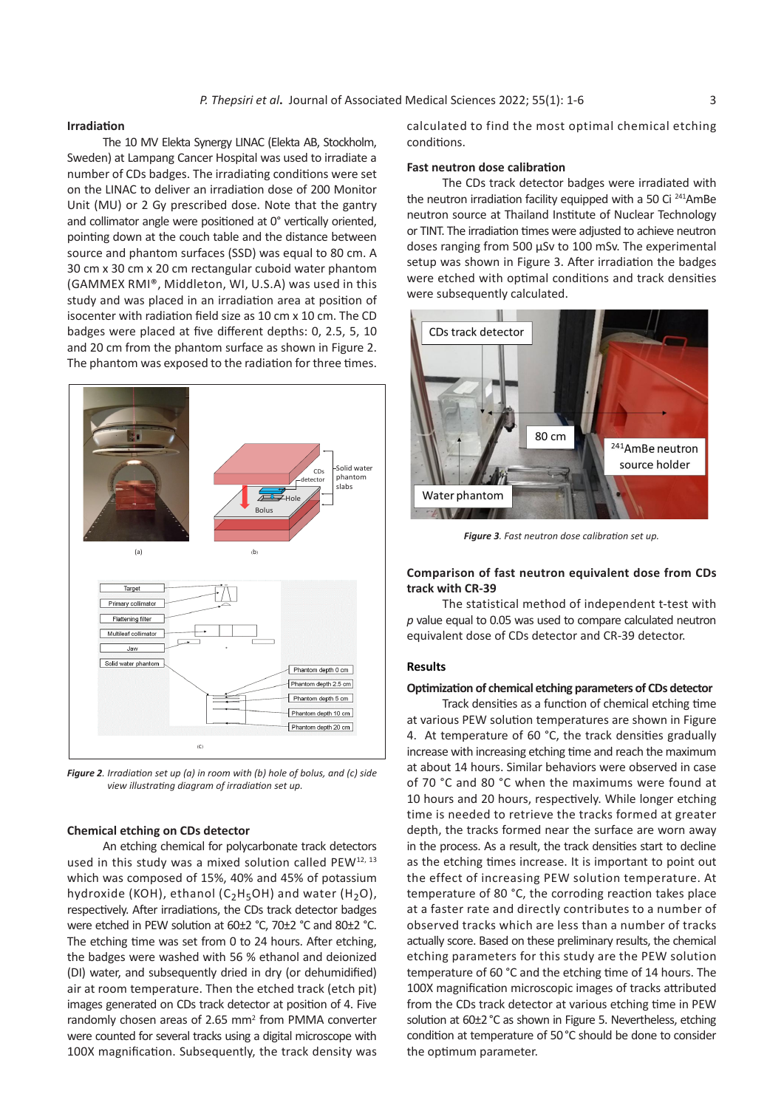#### **Irradiation**

The 10 MV Elekta Synergy LINAC (Elekta AB, Stockholm, Sweden) at Lampang Cancer Hospital was used to irradiate a number of CDs badges. The irradiating conditions were set on the LINAC to deliver an irradiation dose of 200 Monitor Unit (MU) or 2 Gy prescribed dose. Note that the gantry and collimator angle were positioned at 0° vertically oriented, **Facture 1** is the calibration or pointing down at the couch table and the distance between source and phantom surfaces (SSD) was equal to 80 cm. A 30 cm x 30 cm x 20 cm rectangular cuboid water phantom (GAMMEX RMI®, Middleton, WI, U.S.A) was used in this study and was placed in an irradiation area at position of isocenter with radiation field size as 10 cm x 10 cm. The CD badges were placed at five different depths: 0, 2.5, 5, 10 and 20 cm from the phantom surface as shown in Figure 2. The phantom was exposed to the radiation for three times. 2.5, 5, 10 and 20 cm from the phantom surface as shown in **Figure 2.** The phantom was exposed to the radiation for three times.



**Figure 2**. Irradiation set up (a) in room with (b) hole of bolus, and (c) side **Chemical etching on CDs detector** An etching chemical for polycarbonate track detectors used in this study was a mixed solution called *view illustrating diagram of irradiation set up.*

## **Chemical etching on CDs detector**

An etching chemical for polycarbonate track detectors used in this study was a mixed solution called PEW<sup>12, 13</sup> which was composed of 15%, 40% and 45% of potassium hydroxide (KOH), ethanol (C<sub>2</sub>H<sub>5</sub>OH) and water (H<sub>2</sub>O), respectively. After irradiations, the CDs track detector badges were etched in PEW solution at 60±2 °C, 70±2 °C and 80±2 °C. The etching time was set from 0 to 24 hours. After etching, the badges were washed with 56 % ethanol and deionized (DI) water, and subsequently dried in dry (or dehumidified) air at room temperature. Then the etched track (etch pit) images generated on CDs track detector at position of 4. Five randomly chosen areas of 2.65 mm<sup>2</sup> from PMMA converter were counted for several tracks using a digital microscope with 100X magnification. Subsequently, the track density was

calculated to find the most optimal chemical etching conditions.

#### asea to madrate a<br> **Fast neutron dose calibration**

 $m_{\text{max}}$  magnification. The CDs track detector badges were irradiated with  $\epsilon$ doses ranging from 500 µSv to 100 mSv. The experimental<br>equal to 80 cm. A cotup was shown in Figure 3. After irradiation the badges d water phantom and the experimental setup was shown in the experimental setup was shown in the experimental set<br>I was used in this were etched with optimal conditions and track densities was used in this<br>rea at position of were subsequently calculated. the neutron irradiation facility equipped with a 50 Ci  $^{241}$ AmBe neutron source at Thailand Institute of Nuclear Technology or TINT. The irradiation times were adjusted to achieve neutron setup was shown in Figure 3. After irradiation the badges



**Figure 3.** Fast neutron dose calibration set up. *Figure 3. Fast neutron dose calibration set up.*

### **Comparison of fast neutron equivalent dose from CDs track with CR-39**

neutron equivalent dose of CDS detector and CR-39 detector. The statistical method of independent t-test with *p* value equal to 0.05 was used to compare calculated neutron equivalent dose of CDs detector and CR-39 detector.

#### **Results**

#### in **Figure 4.** At temperature of 60 °C, the track densities gradually increase with increasing etching time and **Optimization of chemical etching parameters of CDs detector**

**readion degain of the maximum at about 14 hours. Similar behaviors were observed in case of 71 and 80 °C when the 70 °C when the 70 °C when the 80 °C when the 80 °C when the 80 °C when the 80 °C when the 80 °C when the 80**  $\frac{m_{\text{min}}}{\text{min}}$  at various PEW solution temperatures are shown in Figure **the surface are the surface are surface are surface are surface are surface are surface are process.** At temperature of 60 °C, the track densities gradually increase with increasing etching time and reach the maximum e of holus, and (c) side at about 14 hours. Similar behaviors were observed in case t up.  $\sim$   $\frac{1}{2}$  of 70 °C and 80 °C when the maximums were found at 10 hours and 20 hours, respectively. While longer etching time is needed to retrieve the tracks formed at greater depth, the tracks formed near the surface are worn away ate track detectors in the process. As a result, the track densities start to decline ed PEW<sup>12, 13</sup> as the etching times increase. It is important to point out 45% of potassium the effect of increasing PEW solution temperature. At expected. As expected, the track density is proportional to experimental to experiment of 80 °C, the corroding reaction takes place the water  $\binom{n}{2}$ ,  $\binom{n}{2}$  competitive of solid  $\binom{n}{2}$ . We set comparison takes place the detector badges are a number rate and directly contributed to a number of tracks than a number of tracks den<br>Let  $\infty$  and 80<sup>+2</sup> °C. Cobserved tracks which are less than a number of tracks  $\frac{1}{2}$  cand  $\frac{1}{2}$  c.  $\frac{1}{2}$  conserved tracks which are ress than a number of neutron energy of neutron energy,  $\frac{1}{2}$  cand  $\frac{1}{2}$  c. of 3. After etching, actually store. Based on these preliminary results, the chemical parameters for this study are the PEW solution temperature of 60 °C and the etching time of 14 hours. The 100X magnification microscopic images of tracks attributed from the CDs track detector at various etching time in PEW solution at 60±2°C as shown in Figure 5. Nevertheless, etching condition at temperature of 50°C should be done to consider the optimum parameter.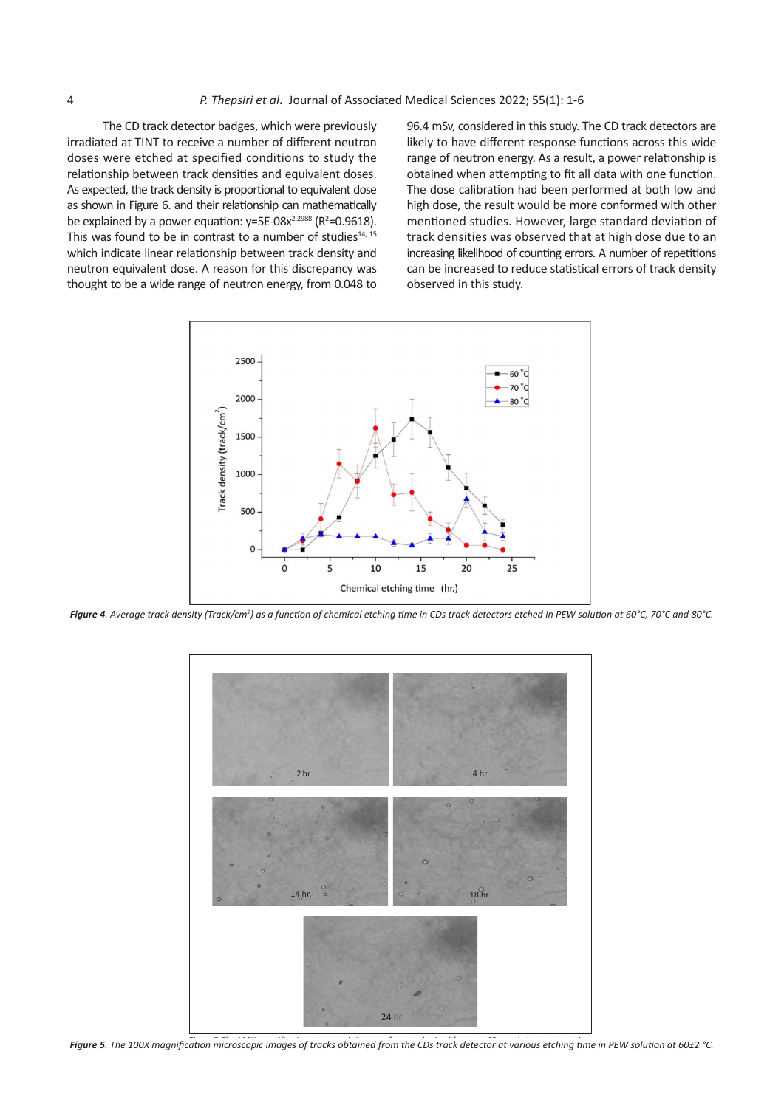The CD track detector badges, which were previously irradiated at TINT to receive a number of different neutron doses were etched at specified conditions to study the relationship between track densities and equivalent doses. As expected, the track density is proportional to equivalent dose as shown in Figure 6. and their relationship can mathematically be explained by a power equation:  $y=5E-08x^{2.2988}$  (R<sup>2</sup>=0.9618). This was found to be in contrast to a number of studies $14, 15$ which indicate linear relationship between track density and increasing likelihood of counting errors. A neutron equivalent dose. A reason for this discrepancy was can be increased to reduce statistical e thought to be a wide range of neutron energy, from 0.048 to cobserved in this study.

6 mentioned studies. However, large standard deviation of  $\frac{1}{2}$  angle of heation energy nomine to to  $\frac{1}{2}$  observed in this statificant. 96.4 mSv, considered in this study. The CD track detectors are likely to have different response functions across this wide range of neutron energy. As a result, a power relationship is obtained when attempting to fit all data with one function. The dose calibration had been performed at both low and high dose, the result would be more conformed with other track densities was observed that at high dose due to an increasing likelihood of counting errors. A number of repetitions can be increased to reduce statistical errors of track density observed in this study.



**Figure 4.** Average track density (Track/cm2 *Figure 4. Average track density (Track/cm<sup>2</sup> ) as a function of chemical etching time in CDs track detectors etched in PEW solution at 60°C, 70°C and 80°C.*



Figure 5. The 100X magnification microscopic images of tracks obtained from the CDs track detector at various etching time in PEW solution at 60±2 °C. etching time in PEW solution at 60±2 °C.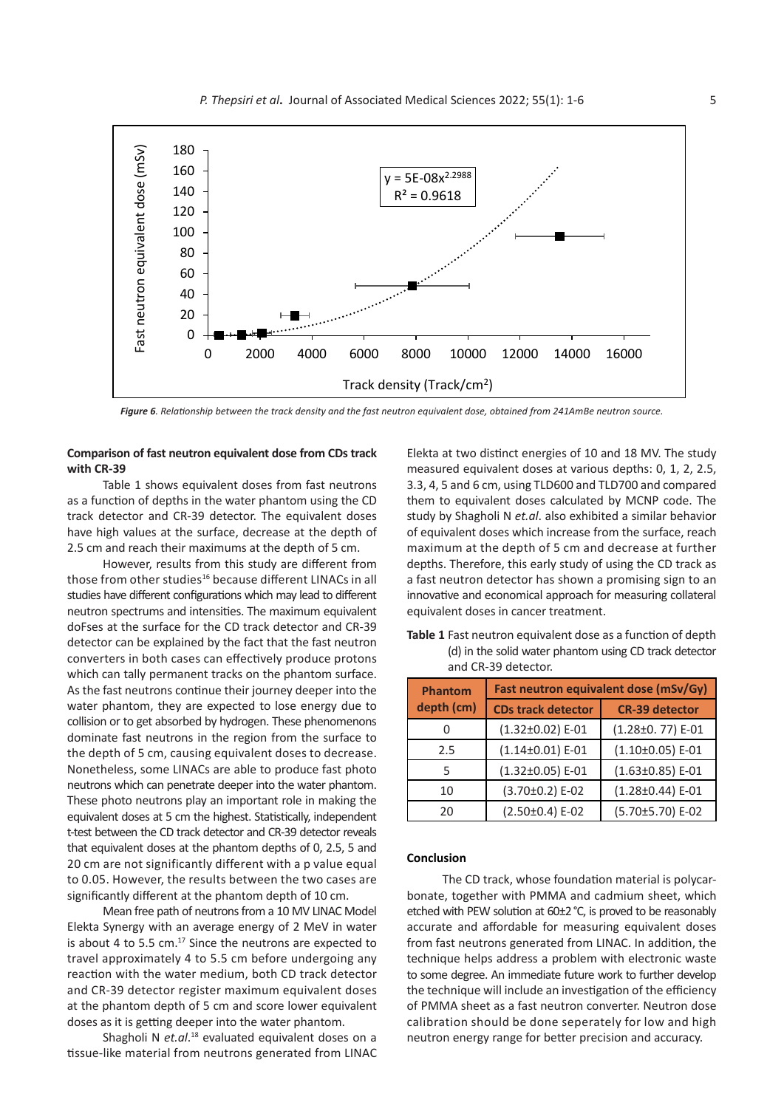

*Figure 6. Relationship between the track density and the fast neutron equivalent dose, obtained from 241AmBe neutron source.*

#### **Comparison of fast neutron equivalent dose from CDs track with CR-39**

Table 1 shows equivalent doses from fast neutrons as a function of depths in the water phantom using the CD track detector and CR-39 detector. The equivalent doses have high values at the surface, decrease at the depth of 2.5 cm and reach their maximums at the depth of 5 cm.

However, results from this study are different from those from other studies<sup>16</sup> because different LINACs in all studies have different configurations which may lead to different neutron spectrums and intensities. The maximum equivalent doFses at the surface for the CD track detector and CR-39 detector can be explained by the fact that the fast neutron converters in both cases can effectively produce protons which can tally permanent tracks on the phantom surface. As the fast neutrons continue their journey deeper into the water phantom, they are expected to lose energy due to collision or to get absorbed by hydrogen. These phenomenons dominate fast neutrons in the region from the surface to the depth of 5 cm, causing equivalent doses to decrease. Nonetheless, some LINACs are able to produce fast photo neutrons which can penetrate deeper into the water phantom. These photo neutrons play an important role in making the equivalent doses at 5 cm the highest. Statistically, independent t-test between the CD track detector and CR-39 detector reveals that equivalent doses at the phantom depths of 0, 2.5, 5 and 20 cm are not significantly different with a p value equal to 0.05. However, the results between the two cases are significantly different at the phantom depth of 10 cm.

Mean free path of neutrons from a 10 MV LINAC Model Elekta Synergy with an average energy of 2 MeV in water is about 4 to 5.5 cm. $^{17}$  Since the neutrons are expected to travel approximately 4 to 5.5 cm before undergoing any reaction with the water medium, both CD track detector and CR-39 detector register maximum equivalent doses at the phantom depth of 5 cm and score lower equivalent doses as it is getting deeper into the water phantom.

Shagholi N et.al.<sup>18</sup> evaluated equivalent doses on a tissue-like material from neutrons generated from LINAC Elekta at two distinct energies of 10 and 18 MV. The study measured equivalent doses at various depths: 0, 1, 2, 2.5, 3.3, 4, 5 and 6 cm, using TLD600 and TLD700 and compared them to equivalent doses calculated by MCNP code. The study by Shagholi N *et.al*. also exhibited a similar behavior of equivalent doses which increase from the surface, reach maximum at the depth of 5 cm and decrease at further depths. Therefore, this early study of using the CD track as a fast neutron detector has shown a promising sign to an innovative and economical approach for measuring collateral equivalent doses in cancer treatment.

**Table 1** Fast neutron equivalent dose as a function of depth (d) in the solid water phantom using CD track detector and CR-39 detector.

| <b>Phantom</b><br>depth (cm) | Fast neutron equivalent dose (mSv/Gy) |                        |
|------------------------------|---------------------------------------|------------------------|
|                              | <b>CDs track detector</b>             | <b>CR-39 detector</b>  |
|                              | $(1.32\pm0.02)$ E-01                  | (1.28±0.77) E-01       |
| 2.5                          | $(1.14\pm0.01)$ E-01                  | $(1.10\pm0.05)$ E-01   |
| 5                            | $(1.32\pm0.05)$ E-01                  | $(1.63\pm0.85)$ E-01   |
| 10                           | $(3.70 \pm 0.2)$ E-02                 | $(1.28 \pm 0.44)$ E-01 |
| 20                           | $(2.50\pm0.4)$ E-02                   | (5.70±5.70) E-02       |

#### **Conclusion**

The CD track, whose foundation material is polycarbonate, together with PMMA and cadmium sheet, which etched with PEW solution at 60±2°C, is proved to be reasonably accurate and affordable for measuring equivalent doses from fast neutrons generated from LINAC. In addition, the technique helps address a problem with electronic waste to some degree. An immediate future work to further develop the technique will include an investigation of the efficiency of PMMA sheet as a fast neutron converter. Neutron dose calibration should be done seperately for low and high neutron energy range for better precision and accuracy.